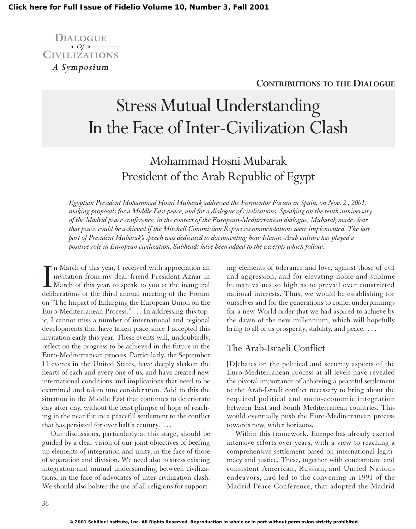

#### **CONTRIBUTIONS TO THE DIALOGUE**

# Stress Mutual Understanding In the Face of Inter-Civilization Clash

# Mohammad Hosni Mubarak President of the Arab Republic of Egypt

*Egyptian President Mohammad Hosni Mubarak addressed the Formentor Forum in Spain, on Nov. 2 , 2001, making proposals for a Middle East peace, and for a dialogue of civilizations. Speaking on the tenth anniversary of the Madrid peace conference, in the context of the European-Mediterranean dialogue, Mubarak made clear that peace could be achieved if the Mitchell Commission Report recommendations were implemented. The last part of President Mubarak's speech was dedicated to documenting how Islamic-Arab culture has played a positive role in European civilization. Subheads have been added to the excerpts which follow.*

I<br>delil n March of this year, I received with appreciation an invitation from my dear friend President Aznar in March of this year, to speak to you at the inaugural deliberations of the third annual meeting of the Forum on "The Impact of Enlarging the European Union on the Euro-Mediterranean Process." . . . In addressing this topic, I cannot miss a number of international and regional developments that have taken place since I accepted this invitation early this year. These events will, undoubtedly, reflect on the progress to be achieved in the future in the Euro-Mediterranean process. Particularly, the September 11 events in the United States, have deeply shaken the hearts of each and every one of us, and have created new international conditions and implications that need to be examined and taken into consideration. Add to this the situation in the Middle East that continues to deteriorate day after day, without the least glimpse of hope of reaching in the near future a peaceful settlement to the conflict that has persisted for over half a century. . . .

Our discussions, particularly at this stage, should be guided by a clear vision of our joint objectives of beefing up elements of integration and unity, in the face of those of separation and division. We need also to stress existing integration and mutual understanding between civilizations, in the face of advocates of inter-civilization clash. We should also bolster the use of all religions for support-

ing elements of tolerance and love, against those of evil and aggression, and for elevating noble and sublime human values so high as to prevail over constricted national interests. Thus, we would be establishing for ourselves and for the generations to come, underpinnings for a new World order that we had aspired to achieve by the dawn of the new millennium, which will hopefully bring to all of us prosperity, stability, and peace. ...

### The Arab-Israeli Conflict

[D]ebates on the political and security aspects of the Euro-Mediterranean process at all levels have revealed the pivotal importance of achieving a peaceful settlement to the Arab-Israeli conflict necessary to bring about the required political and socio-economic integration between East and South Mediterranean countries. This would eventually push the Euro-Mediterranean process towards new, wider horizons.

Within this framework, Europe has already exerted intensive efforts over years, with a view to reaching a comprehensive settlement based on international legitimacy and justice. These, together with concomitant and consistent American, Russian, and United Nations endeavors, had led to the convening in 1991 of the Madrid Peace Conference, that adopted the Madrid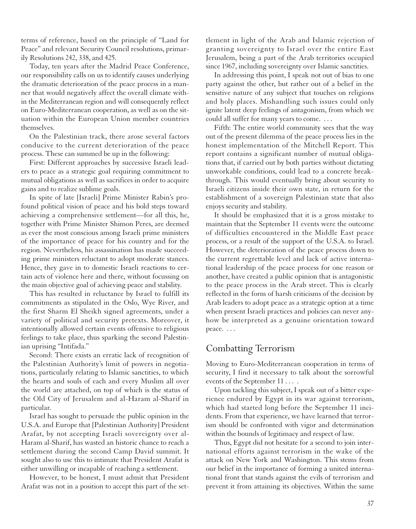terms of reference, based on the principle of "Land for Peace" and relevant Security Council resolutions, primarily Resolutions 242, 338, and 425.

Today, ten years after the Madrid Peace Conference, our responsibility calls on us to identify causes underlying the dramatic deterioration of the peace process in a manner that would negatively affect the overall climate within the Mediterranean region and will consequently reflect on Euro-Mediterranean cooperation, as well as on the situation within the European Union member countries themselves.

On the Palestinian track, there arose several factors conducive to the current deterioration of the peace process. These can summed be up in the following:

First: Different approaches by successive Israeli leaders to peace as a strategic goal requiring commitment to mutual obligations as well as sacrifices in order to acquire gains and to realize sublime goals.

In spite of late [Israeli] Prime Minister Rabin's profound political vision of peace and his bold steps toward achieving a comprehensive settlement—for all this, he, together with Prime Minister Shimon Peres, are deemed as ever the most conscious among Israeli prime ministers of the importance of peace for his country and for the region. Nevertheless, his assassination has made succeeding prime ministers reluctant to adopt moderate stances. Hence, they gave in to domestic Israeli reactions to certain acts of violence here and there, without focussing on the main objective goal of achieving peace and stability.

This has resulted in reluctance by Israel to fulfill its commitments as stipulated in the Oslo, Wye River, and the first Sharm El Sheikh signed agreements, under a variety of political and security pretexts. Moreover, it intentionally allowed certain events offensive to religious feelings to take place, thus sparking the second Palestinian uprising "Intifada."

Second: There exists an erratic lack of recognition of the Palestinian Authority's limit of powers in negotiations, particularly relating to Islamic sanctities, to which the hearts and souls of each and every Muslim all over the world are attached, on top of which is the status of the Old City of Jerusalem and al-Haram al-Sharif in particular.

Israel has sought to persuade the public opinion in the U.S.A. and Europe that [Palestinian Authority] President Arafat, by not accepting Israeli sovereignty over al-Haram al-Sharif, has wasted an historic chance to reach a settlement during the second Camp David summit. It sought also to use this to intimate that President Arafat is either unwilling or incapable of reaching a settlement.

However, to be honest, I must admit that President Arafat was not in a position to accept this part of the set-

tlement in light of the Arab and Islamic rejection of granting sovereignty to Israel over the entire East Jerusalem, being a part of the Arab territories occupied since 1967, including sovereignty over Islamic sanctities.

In addressing this point, I speak not out of bias to one party against the other, but rather out of a belief in the sensitive nature of any subject that touches on religions and holy places. Mishandling such issues could only ignite latent deep feelings of antagonism, from which we could all suffer for many years to come. . . .

Fifth: The entire world community sees that the way out of the present dilemma of the peace process lies in the honest implementation of the Mitchell Report. This report contains a significant number of mutual obligations that, if carried out by both parties without dictating unworkable conditions, could lead to a concrete breakthrough. This would eventually bring about security to Israeli citizens inside their own state, in return for the establishment of a sovereign Palestinian state that also enjoys security and stability.

It should be emphasized that it is a gross mistake to maintain that the September 11 events were the outcome of difficulties encountered in the Middle East peace process, or a result of the support of the U.S.A. to Israel. However, the deterioration of the peace process down to the current regrettable level and lack of active international leadership of the peace process for one reason or another, have created a public opinion that is antagonistic to the peace process in the Arab street. This is clearly reflected in the form of harsh criticisms of the decision by Arab leaders to adopt peace as a strategic option at a time when present Israeli practices and policies can never anyhow be interpreted as a genuine orientation toward peace. . . .

### Combatting Terrorism

Moving to Euro-Mediterranean cooperation in terms of security, I find it necessary to talk about the sorrowful events of the September 11 . . . .

Upon tackling this subject, I speak out of a bitter experience endured by Egypt in its war against terrorism, which had started long before the September 11 incidents. From that experience, we have learned that terrorism should be confronted with vigor and determination within the bounds of legitimacy and respect of law.

Thus, Egypt did not hesitate for a second to join international efforts against terrorism in the wake of the attack on New York and Washington. This stems from our belief in the importance of forming a united international front that stands against the evils of terrorism and prevent it from attaining its objectives. Within the same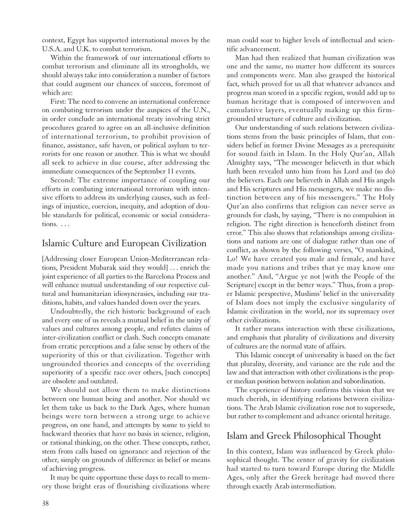context, Egypt has supported international moves by the U.S.A. and U.K. to combat terrorism.

Within the framework of our international efforts to combat terrorism and eliminate all its strongholds, we should always take into consideration a number of factors that could augment our chances of success, foremost of which are:

First: The need to convene an international conference on combating terrorism under the auspices of the U.N., in order conclude an international treaty involving strict procedures geared to agree on an all-inclusive definition of international terrorism, to prohibit provision of finance, assistance, safe haven, or political asylum to terrorists for one reason or another. This is what we should all seek to achieve in due course, after addressing the immediate consequences of the September 11 events.

Second: The extreme importance of coupling our efforts in combating international terrorism with intensive efforts to address its underlying causes, such as feelings of injustice, coercion, inequity, and adoption of double standards for political, economic or social considerations. . . .

#### Islamic Culture and European Civilization

[Addressing closer European Union-Mediterranean relations, President Mubarak said they would] . . . enrich the joint experience of all parties to the Barcelona Process and will enhance mutual understanding of our respective cultural and humanitarian idiosyncrasies, including our traditions, habits, and values handed down over the years.

Undoubtedly, the rich historic background of each and every one of us reveals a mutual belief in the unity of values and cultures among people, and refutes claims of inter-civilization conflict or clash. Such concepts emanate from erratic perceptions and a false sense by others of the superiority of this or that civilization. Together with ungrounded theories and concepts of the overriding superiority of a specific race over others, [such concepts] are obsolete and outdated.

We should not allow them to make distinctions between one human being and another. Nor should we let them take us back to the Dark Ages, where human beings were torn between a strong urge to achieve progress, on one hand, and attempts by some to yield to backward theories that have no basis in science, religion, or rational thinking, on the other. These concepts, rather, stem from calls based on ignorance and rejection of the other, simply on grounds of difference in belief or means of achieving progress.

It may be quite opportune these days to recall to memory those bright eras of flourishing civilizations where man could soar to higher levels of intellectual and scientific advancement.

Man had then realized that human civilization was one and the same, no matter how different its sources and components were. Man also grasped the historical fact, which proved for us all that whatever advances and progress man scored in a specific region, would add up to human heritage that is composed of interwoven and cumulative layers, eventually making up this firmgrounded structure of culture and civilization.

Our understanding of such relations between civilizations stems from the basic principles of Islam, that considers belief in former Divine Messages as a prerequisite for sound faith in Islam. In the Holy Qur'an, Allah Almighty says, "The messenger believeth in that which hath been revealed unto him from his Lord and (so do) the believers. Each one believeth in Allah and His angels and His scriptures and His messengers, we make no distinction between any of his messengers." The Holy Qur'an also confirms that religion can never serve as grounds for clash, by saying, "There is no compulsion in religion. The right direction is henceforth distinct from error." This also shows that relationships among civilizations and nations are one of dialogue rather than one of conflict, as shown by the following verses, "O mankind, Lo! We have created you male and female, and have made you nations and tribes that ye may know one another." And, "Argue ye not [with the People of the Scripture] except in the better ways." Thus, from a proper Islamic perspective, Muslims' belief in the universality of Islam does not imply the exclusive singularity of Islamic civilization in the world, nor its supremacy over other civilizations.

It rather means interaction with these civilizations, and emphasis that plurality of civilizations and diversity of cultures are the normal state of affairs.

This Islamic concept of universality is based on the fact that plurality, diversity, and variance are the rule and the law and that interaction with other civilizations is the proper median position between isolation and subordination.

The experience of history confirms this vision that we much cherish, in identifying relations between civilizations. The Arab Islamic civilization rose not to supersede, but rather to complement and advance oriental heritage.

#### Islam and Greek Philosophical Thought

In this context, Islam was influenced by Greek philosophical thought. The center of gravity for civilization had started to turn toward Europe during the Middle Ages, only after the Greek heritage had moved there through exactly Arab intermediation.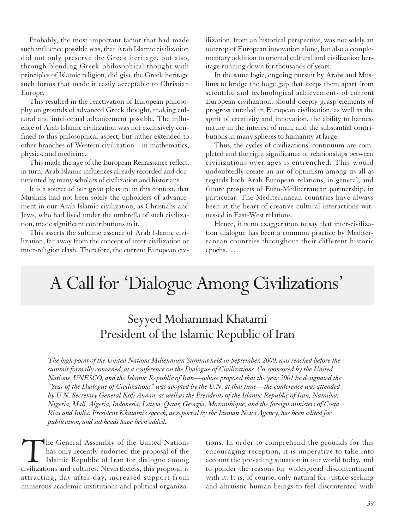Probably, the most important factor that had made such influence possible was, that Arab Islamic civilization did not only preserve the Greek heritage, but also, through blending Greek philosophical thought with principles of Islamic religion, did give the Greek heritage such forms that made it easily acceptable to Christian Europe.

This resulted in the reactivation of European philosophy on grounds of advanced Greek thought, making cultural and intellectual advancement possible. The influence of Arab Islamic civilization was not exclusively confined to this philosophical aspect, but rather extended to other branches of Western civilization—in mathematics, physics, and medicine.

This made the age of the European Renaissance reflect, in turn, Arab Islamic influences already recorded and documented by many scholars of civilization and historians.

It is a source of our great pleasure in this context, that Muslims had not been solely the upholders of advancement in our Arab Islamic civilization; as Christians and Jews, who had lived under the umbrella of such civilization, made significant contributions to it.

This asserts the sublime essence of Arab Islamic civilization, far away from the concept of inter-civilization or inter-religion clash. Therefore, the current European civilization, from an historical perspective, was not solely an outcrop of European innovation alone, but also a complementary addition to oriental cultural and civilization heritage running down for thousands of years.

In the same logic, ongoing pursuit by Arabs and Muslims to bridge the huge gap that keeps them apart from scientific and technological achievements of current European civilization, should deeply grasp elements of progress entailed in European civilization, as well as the spirit of creativity and innovation, the ability to harness nature in the interest of man, and the substantial contributions in many spheres to humanity at large.

Thus, the cycles of civilizations' continuum are completed and the right significance of relationships between civilizations over ages is entrenched. This would undoubtedly create an air of optimism among us all as regards both Arab-European relations, in general, and future prospects of Euro-Mediterranean partnership, in particular. The Mediterranean countries have always been at the heart of creative cultural interactions witnessed in East-West relations.

Hence, it is no exaggeration to say that inter-civilization dialogue has been a common practice by Mediterranean countries throughout their different historic epochs. . . .

# A Call for 'Dialogue Among Civilizations'

## Seyyed Mohammad Khatami President of the Islamic Republic of Iran

*The high point of the United Nations Millennium Summit held in September, 2000, was reached before the summit formally convened, at a conference on the Dialogue of Civilizations. Co-sponsored by the United Nations, UNESCO, and the Islamic Republic of Iran—whose proposal that the year 2001 be designated the "Year of the Dialogue of Civilizations" was adopted by the U.N. at that time—the conference was attended by U.N. Secretary General Kofi Annan, as well as the Presidents of the Islamic Republic of Iran, Namibia, Nigeria, Mali, Algeria, Indonesia, Latvia, Qatar, Georgia, Mozambique, and the foreign ministers of Costa Rica and India. President Khatami's speech, as reported by the Iranian News Agency, has been edited for publication, and subheads have been added.*

The General Assembly of the United Nations<br>has only recently endorsed the proposal of the<br>Islamic Republic of Iran for dialogue among<br>civilizations and cultures. Nevertheless, this proposal is has only recently endorsed the proposal of the Islamic Republic of Iran for dialogue among attracting, day after day, increased support from numerous academic institutions and political organiza-

tions. In order to comprehend the grounds for this encouraging reception, it is imperative to take into account the prevailing situation in our world today, and to ponder the reasons for widespread discontentment with it. It is, of course, only natural for justice-seeking and altruistic human beings to feel discontented with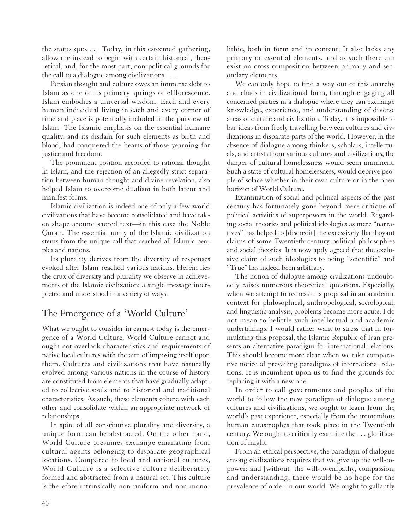the status quo. *...* Today, in this esteemed gathering, allow me instead to begin with certain historical, theoretical, and, for the most part, non-political grounds for the call to a dialogue among civilizations. *...*

Persian thought and culture owes an immense debt to Islam as one of its primary springs of efflorescence. Islam embodies a universal wisdom. Each and every human individual living in each and every corner of time and place is potentially included in the purview of Islam. The Islamic emphasis on the essential humane quality, and its disdain for such elements as birth and blood, had conquered the hearts of those yearning for justice and freedom.

The prominent position accorded to rational thought in Islam, and the rejection of an allegedly strict separation between human thought and divine revelation, also helped Islam to overcome dualism in both latent and manifest forms.

Islamic civilization is indeed one of only a few world civilizations that have become consolidated and have taken shape around sacred text—in this case the Noble Qoran. The essential unity of the lslamic civilization stems from the unique call that reached all Islamic peoples and nations.

Its plurality derives from the diversity of responses evoked after Islam reached various nations. Herein lies the crux of diversity and plurality we observe in achievements of the Islamic civilization: a single message interpreted and understood in a variety of ways.

## The Emergence of a 'World Culture'

What we ought to consider in earnest today is the emergence of a World Culture. World Culture cannot and ought not overlook characteristics and requirements of native local cultures with the aim of imposing itself upon them. Cultures and civilizations that have naturally evolved among various nations in the course of history are constituted from elements that have gradually adapted to collective souls and to historical and traditional characteristics. As such, these elements cohere with each other and consolidate within an appropriate network of relationships.

In spite of all constitutive plurality and diversity, a unique form can be abstracted. On the other hand, World Culture presumes exchange emanating from cultural agents belonging to disparate geographical locations. Compared to local and national cultures, World Culture is a selective culture deliberately formed and abstracted from a natural set. This culture is therefore intrinsically non-uniform and non-monolithic, both in form and in content. It also lacks any primary or essential elements, and as such there can exist no cross-composition between primary and secondary elements.

We can only hope to find a way out of this anarchy and chaos in civilizational form, through engaging all concerned parties in a dialogue where they can exchange knowledge, experience, and understanding of diverse areas of culture and civilization. Today, it is impossible to bar ideas from freely travelling between cultures and civilizations in disparate parts of the world. However, in the absence of dialogue among thinkers, scholars, intellectuals, and artists from various cultures and civilizations, the danger of cultural homelessness would seem imminent. Such a state of cultural homelessness, would deprive people of solace whether in their own culture or in the open horizon of World Culture.

Examination of social and political aspects of the past century has fortunately gone beyond mere critique of political activities of superpowers in the world. Regarding social theories and political ideologies as mere "narratives" has helped to [discredit] the excessively flamboyant claims of some Twentieth-century political philosophies and social theories. It is now aptly agreed that the exclusive claim of such ideologies to being "scientific" and "True" has indeed been arbitrary.

The notion of dialogue among civilizations undoubtedly raises numerous theoretical questions. Especially, when we attempt to redress this proposal in an academic context for philosophical, anthropological, sociological, and linguistic analysis, problems become more acute. I do not mean to belittle such intellectual and academic undertakings. I would rather want to stress that in formulating this proposal, the Islamic Republic of Iran presents an alternative paradigm for international relations. This should become more clear when we take comparative notice of prevailing paradigms of international relations. It is incumbent upon us to find the grounds for replacing it with a new one.

In order to call governments and peoples of the world to follow the new paradigm of dialogue among cultures and civilizations, we ought to learn from the world's past experience, especially from the tremendous human catastrophes that took place in the Twentieth century. We ought to critically examine the . . . glorification of might.

From an ethical perspective, the paradigm of dialogue among civilizations requires that we give up the will-topower; and [without] the will-to-empathy, compassion, and understanding, there would be no hope for the prevalence of order in our world. We ought to gallantly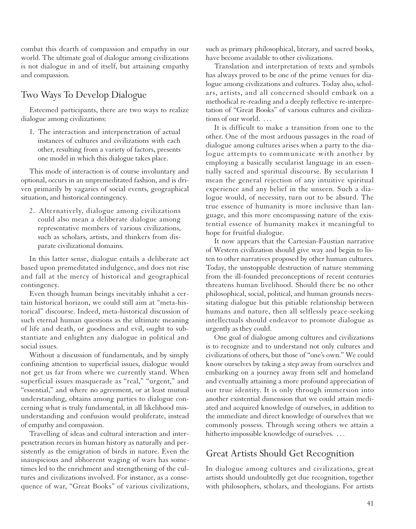combat this dearth of compassion and empathy in our world. The ultimate goal of dialogue among civilizations is not dialogue in and of itself, but attaining empathy and compassion.

### Two Ways To Develop Dialogue

Esteemed participants, there are two ways to realize dialogue among civilizations:

1. The interaction and interpenetration of actual instances of cultures and civilizations with each other, resulting from a variety of factors, presents one model in which this dialogue takes place.

This mode of interaction is of course involuntary and optional, occurs in an unpremeditated fashion, and is driven primarily by vagaries of social events, geographical situation, and historical contingency.

2. Alternatively, dialogue among civilizations could also mean a deliberate dialogue among representative members of various civilizations, such as scholars, artists, and thinkers from disparate civilizational domains.

In this latter sense, dialogue entails a deliberate act based upon premeditated indulgence, and does not rise and fall at the mercy of historical and geographical contingency.

Even though human beings inevitably inhabit a certain historical horizon, we could still aim at "meta-historical" discourse. Indeed, meta-historical discussion of such eternal human questions as the ultimate meaning of life and death, or goodness and evil, ought to substantiate and enlighten any dialogue in political and social issues.

Without a discussion of fundamentals, and by simply confining attention to superficial issues, dialogue would not get us far from where we currently stand. When superficial issues masquerade as "real," "urgent," and "essential," and where no agreement, or at least mutual understanding, obtains among parties to dialogue concerning what is truly fundamental, in all likelihood misunderstanding and confusion would proliferate, instead of empathy and compassion.

Travelling of ideas and cultural interaction and interpenetration recurs in human history as naturally and persistently as the emigration of birds in nature. Even the inauspicious and abhorrent waging of wars has sometimes led to the enrichment and strengthening of the cultures and civilizations involved. For instance, as a consequence of war, "Great Books" of various civilizations,

such as primary philosophical, literary, and sacred books, have become available to other civilizations.

Translation and interpretation of texts and symbols has always proved to be one of the prime venues for dialogue among civilizations and cultures. Today also, scholars, artists, and all concerned should embark on a methodical re-reading and a deeply reflective re-interpretation of "Great Books" of various cultures and civilizations of our world. . . .

It is difficult to make a transition from one to the other. One of the most arduous passages in the road of dialogue among cultures arises when a party to the dialogue attempts to communicate with another by employing a basically secularist language in an essentially sacred and spiritual discourse. By secularism I mean the general rejection of any intuitive spiritual experience and any belief in the unseen. Such a dialogue would, of necessity, turn out to be absurd. The true essence of humanity is more inclusive than language, and this more encompassing nature of the existential essence of humanity makes it meaningful to hope for fruitful dialogue.

It now appears that the Cartesian-Faustian narrative of Western civilization should give way and begin to listen to other narratives proposed by other human cultures. Today, the unstoppable destruction of nature stemming from the ill-founded preconceptions of recent centuries threatens human livelihood. Should there be no other philosophical, social, political, and human grounds necessitating dialogue but this pitiable relationship between humans and nature, then all selflessly peace-seeking intellectuals should endeavor to promote dialogue as urgently as they could.

One goal of dialogue among cultures and civilizations is to recognize and to understand not only cultures and civilizations of others, but those of "one's own." We could know ourselves by taking a step away from ourselves and embarking on a journey away from self and homeland and eventually attaining a more profound appreciation of our true identity. It is only through immersion into another existential dimension that we could attain mediated and acquired knowledge of ourselves, in addition to the immediate and direct knowledge of ourselves that we commonly possess. Through seeing others we attain a hitherto impossible knowledge of ourselves. *...*

### Great Artists Should Get Recognition

In dialogue among cultures and civilizations, great artists should undoubtedly get due recognition, together with philosophers, scholars, and theologians. For artists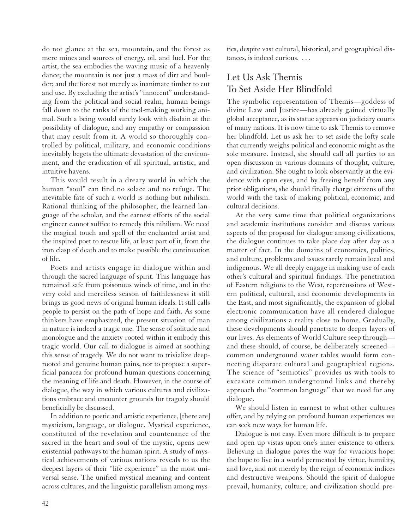do not glance at the sea, mountain, and the forest as mere mines and sources of energy, oil, and fuel. For the artist, the sea embodies the waving music of a heavenly dance; the mountain is not just a mass of dirt and boulder; and the forest not merely as inanimate timber to cut and use. By excluding the artist's "innocent" understanding from the political and social realm, human beings fall down to the ranks of the tool-making working animal. Such a being would surely look with disdain at the possibility of dialogue, and any empathy or compassion that may result from it. A world so thoroughly controlled by political, military, and economic conditions inevitably begets the ultimate devastation of the environment, and the eradication of all spiritual, artistic, and intuitive havens.

This would result in a dreary world in which the human "soul" can find no solace and no refuge. The inevitable fate of such a world is nothing but nihilism. Rational thinking of the philosopher, the learned language of the scholar, and the earnest efforts of the social engineer cannot suffice to remedy this nihilism. We need the magical touch and spell of the enchanted artist and the inspired poet to rescue life, at least part of it, from the iron clasp of death and to make possible the continuation of life.

Poets and artists engage in dialogue within and through the sacred language of spirit. This language has remained safe from poisonous winds of time, and in the very cold and merciless season of faithlessness it still brings us good news of original human ideals. It still calls people to persist on the path of hope and faith. As some thinkers have emphasized, the present situation of man in nature is indeed a tragic one. The sense of solitude and monologue and the anxiety rooted within it embody this tragic world. Our call to dialogue is aimed at soothing this sense of tragedy. We do not want to trivialize deeprooted and genuine human pains, nor to propose a superficial panacea for profound human questions concerning the meaning of life and death. However, in the course of dialogue, the way in which various cultures and civilizations embrace and encounter grounds for tragedy should beneficially be discussed.

In addition to poetic and artistic experience, [there are] mysticism, language, or dialogue. Mystical experience, constituted of the revelation and countenance of the sacred in the heart and soul of the mystic, opens new existential pathways to the human spirit. A study of mystical achievements of various nations reveals to us the deepest layers of their "life experience" in the most universal sense. The unified mystical meaning and content across cultures, and the linguistic parallelism among mystics, despite vast cultural, historical, and geographical distances, is indeed curious. . . .

## Let Us Ask Themis To Set Aside Her Blindfold

The symbolic representation of Themis—goddess of divine Law and Justice—has already gained virtually global acceptance, as its statue appears on judiciary courts of many nations. It is now time to ask Themis to remove her blindfold. Let us ask her to set aside the lofty scale that currently weighs political and economic might as the sole measure. Instead, she should call all parties to an open discussion in various domains of thought, culture, and civilization. She ought to look observantly at the evidence with open eyes, and by freeing herself from any prior obligations, she should finally charge citizens of the world with the task of making political, economic, and cultural decisions.

At the very same time that political organizations and academic institutions consider and discuss various aspects of the proposal for dialogue among civilizations, the dialogue continues to take place day after day as a matter of fact. In the domains of economics, politics, and culture, problems and issues rarely remain local and indigenous. We all deeply engage in making use of each other's cultural and spiritual findings. The penetration of Eastern religions to the West, repercussions of Western political, cultural, and economic developments in the East, and most significantly, the expansion of global electronic communication have all rendered dialogue among civilizations a reality close to home. Gradually, these developments should penetrate to deeper layers of our lives. As elements of World Culture seep through and these should, of course, be deliberately screened common underground water tables would form connecting disparate cultural and geographical regions. The science of "semiotics" provides us with tools to excavate common underground links and thereby approach the "common language" that we need for any dialogue.

We should listen in earnest to what other cultures offer, and by relying on profound human experiences we can seek new ways for human life.

Dialogue is not easy. Even more difficult is to prepare and open up vistas upon one's inner existence to others. Believing in dialogue paves the way for vivacious hope: the hope to live in a world permeated by virtue, humility, and love, and not merely by the reign of economic indices and destructive weapons. Should the spirit of dialogue prevail, humanity, culture, and civilization should pre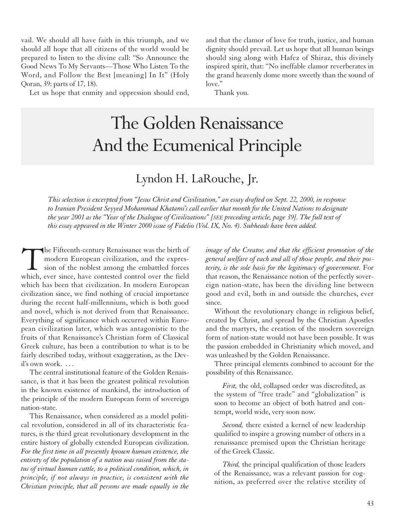vail. We should all have faith in this triumph, and we should all hope that all citizens of the world would be prepared to listen to the divine call: "So Announce the Good News To My Servants—Those Who Listen To the Word, and Follow the Best [meaning] In It" (Holy Qoran, 39: parts of 17, 18).

and that the clamor of love for truth, justice, and human dignity should prevail. Let us hope that all human beings should sing along with Hafez of Shiraz, this divinely inspired spirit, that: "No ineffable clamor reverberates in the grand heavenly dome more sweetly than the sound of love."

Let us hope that enmity and oppression should end,

# The Golden Renaissance And the Ecumenical Principle

Thank you.

## Lyndon H. LaRouche, Jr.

*This selection is excerpted from "Jesus Christ and Civilization," an essay drafted on Sept. 22, 2000, in response to Iranian President Seyyed Mohammad Khatami's call earlier that month for the United Nations to designate the year 2001 as the "Year of the Dialogue of Civilizations" [SEE preceding article, page 39]. The full text of this essay appeared in the Winter 2000 issue of Fidelio (Vol. IX, No. 4). Subheads have been added.*

The Fifteenth-century Renaissance was the birth of modern European civilization, and the expression of the noblest among the embattled forces which, ever since, have contested control over the field modern European civilization, and the expression of the noblest among the embattled forces which, ever since, have contested control over the field which has been that civilization. In modern European civilization since, we find nothing of crucial importance during the recent half-millennium, which is both good and novel, which is not derived from that Renaissance. Everything of significance which occurred within European civilization later, which was antagonistic to the fruits of that Renaissance's Christian form of Classical Greek culture, has been a contribution to what is to be fairly described today, without exaggeration, as the Devil's own work. . . .

The central institutional feature of the Golden Renaissance, is that it has been the greatest political revolution in the known existence of mankind, the introduction of the principle of the modern European form of sovereign nation-state.

This Renaissance, when considered as a model political revolution, considered in all of its characteristic features, is the third great revolutionary development in the entire history of globally extended European civilization. *For the first time in all presently known human existence, the entirety of the population of a nation was raised from the status of virtual human cattle, to a political condition, which, in principle, if not always in practice, is consistent with the Christian principle, that all persons are made equally in the*

*image of the Creator, and that the efficient promotion of the general welfare of each and all of those people, and their posterity, is the sole basis for the legitimacy of government.* For that reason, the Renaissance notion of the perfectly sovereign nation-state, has been the dividing line between good and evil, both in and outside the churches, ever since.

Without the revolutionary change in religious belief, created by Christ, and spread by the Christian Apostles and the martyrs, the creation of the modern sovereign form of nation-state would not have been possible. It was the passion embedded in Christianity which moved, and was unleashed by the Golden Renaissance.

Three principal elements combined to account for the possibility of this Renaissance.

*First,* the old, collapsed order was discredited, as the system of "free trade" and "globalization" is soon to become an object of both hatred and contempt, world wide, very soon now.

*Second,* there existed a kernel of new leadership qualified to inspire a growing number of others in a renaissance premised upon the Christian heritage of the Greek Classic.

*Third,* the principal qualification of those leaders of the Renaissance, was a relevant passion for cognition, as preferred over the relative sterility of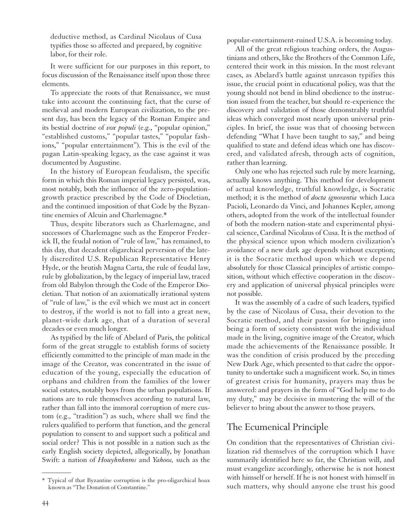deductive method, as Cardinal Nicolaus of Cusa typifies those so affected and prepared, by cognitive labor, for their role.

It were sufficient for our purposes in this report, to focus discussion of the Renaissance itself upon those three elements.

To appreciate the roots of that Renaissance, we must take into account the continuing fact, that the curse of medieval and modern European civilization, to the present day, has been the legacy of the Roman Empire and its bestial doctrine of *vox populi* (e.g., "popular opinion," "established customs," "popular tastes," "popular fashions," "popular entertainment"). This is the evil of the pagan Latin-speaking legacy, as the case against it was documented by Augustine.

In the history of European feudalism, the specific form in which this Roman imperial legacy persisted, was, most notably, both the influence of the zero-populationgrowth practice prescribed by the Code of Diocletian, and the continued imposition of that Code by the Byzantine enemies of Alcuin and Charlemagne.\*

Thus, despite liberators such as Charlemagne, and successors of Charlemagne such as the Emperor Frederick II, the feudal notion of "rule of law," has remained, to this day, that decadent oligarchical perversion of the lately discredited U.S. Republican Representative Henry Hyde, or the brutish Magna Carta, the rule of feudal law, rule by globalization, by the legacy of imperial law, traced from old Babylon through the Code of the Emperor Diocletian. That notion of an axiomatically irrational system of "rule of law," is the evil which we must act in concert to destroy, if the world is not to fall into a great new, planet-wide dark age, that of a duration of several decades or even much longer.

As typified by the life of Abelard of Paris, the political form of the great struggle to establish forms of society efficiently committed to the principle of man made in the image of the Creator, was concentrated in the issue of education of the young, especially the education of orphans and children from the families of the lower social estates, notably boys from the urban populations. If nations are to rule themselves according to natural law, rather than fall into the immoral corruption of mere custom (e.g., "tradition") as such, where shall we find the rulers qualified to perform that function, and the general population to consent to and support such a political and social order? This is not possible in a nation such as the early English society depicted, allegorically, by Jonathan Swift: a nation of *Houyhnhnms* and *Yahoos,* such as the

popular-entertainment-ruined U.S.A. is becoming today.

All of the great religious teaching orders, the Augustinians and others, like the Brothers of the Common Life, centered their work in this mission. In the most relevant cases, as Abelard's battle against unreason typifies this issue, the crucial point in educational policy, was that the young should not bend in blind obedience to the instruction issued from the teacher, but should re-experience the discovery and validation of those demonstrably truthful ideas which converged most nearly upon universal principles. In brief, the issue was that of choosing between defending "What I have been taught to say," and being qualified to state and defend ideas which one has discovered, and validated afresh, through acts of cognition, rather than learning.

Only one who has rejected such rule by mere learning, actually knows anything. This method for development of actual knowledge, truthful knowledge, is Socratic method; it is the method of *docta ignorantia* which Luca Pacioli, Leonardo da Vinci, and Johannes Kepler, among others, adopted from the work of the intellectual founder of both the modern nation-state and experimental physical science, Cardinal Nicolaus of Cusa. It is the method of the physical science upon which modern civilization's avoidance of a new dark age depends without exception; it is the Socratic method upon which we depend absolutely for those Classical principles of artistic composition, without which effective cooperation in the discovery and application of universal physical principles were not possible.

It was the assembly of a cadre of such leaders, typified by the case of Nicolaus of Cusa, their devotion to the Socratic method, and their passion for bringing into being a form of society consistent with the individual made in the living, cognitive image of the Creator, which made the achievements of the Renaissance possible. It was the condition of crisis produced by the preceding New Dark Age, which presented to that cadre the opportunity to undertake such a magnificent work. So, in times of greatest crisis for humanity, prayers may thus be answered: and prayers in the form of "God help me to do my duty," may be decisive in mustering the will of the believer to bring about the answer to those prayers.

### The Ecumenical Principle

On condition that the representatives of Christian civilization rid themselves of the corruption which I have summarily identified here so far, the Christian will, and must evangelize accordingly, otherwise he is not honest with himself or herself. If he is not honest with himself in such matters, why should anyone else trust his good

 $\overline{\phantom{a}}$ 

<sup>\*</sup> Typical of that Byzantine corruption is the pro-oligarchical hoax known as "The Donation of Constantine."